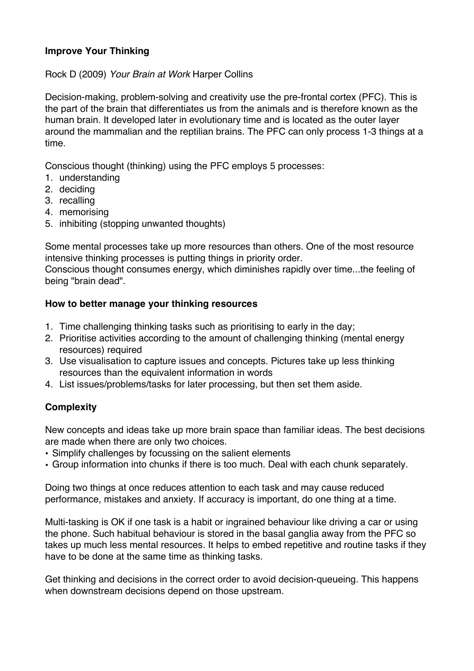## **Improve Your Thinking**

Rock D (2009) *Your Brain at Work* Harper Collins

Decision-making, problem-solving and creativity use the pre-frontal cortex (PFC). This is the part of the brain that differentiates us from the animals and is therefore known as the human brain. It developed later in evolutionary time and is located as the outer layer around the mammalian and the reptilian brains. The PFC can only process 1-3 things at a time.

Conscious thought (thinking) using the PFC employs 5 processes:

- 1. understanding
- 2. deciding
- 3. recalling
- 4. memorising
- 5. inhibiting (stopping unwanted thoughts)

Some mental processes take up more resources than others. One of the most resource intensive thinking processes is putting things in priority order.

Conscious thought consumes energy, which diminishes rapidly over time...the feeling of being "brain dead".

#### **How to better manage your thinking resources**

- 1. Time challenging thinking tasks such as prioritising to early in the day;
- 2. Prioritise activities according to the amount of challenging thinking (mental energy resources) required
- 3. Use visualisation to capture issues and concepts. Pictures take up less thinking resources than the equivalent information in words
- 4. List issues/problems/tasks for later processing, but then set them aside.

## **Complexity**

New concepts and ideas take up more brain space than familiar ideas. The best decisions are made when there are only two choices.

- Simplify challenges by focussing on the salient elements
- Group information into chunks if there is too much. Deal with each chunk separately.

Doing two things at once reduces attention to each task and may cause reduced performance, mistakes and anxiety. If accuracy is important, do one thing at a time.

Multi-tasking is OK if one task is a habit or ingrained behaviour like driving a car or using the phone. Such habitual behaviour is stored in the basal ganglia away from the PFC so takes up much less mental resources. It helps to embed repetitive and routine tasks if they have to be done at the same time as thinking tasks.

Get thinking and decisions in the correct order to avoid decision-queueing. This happens when downstream decisions depend on those upstream.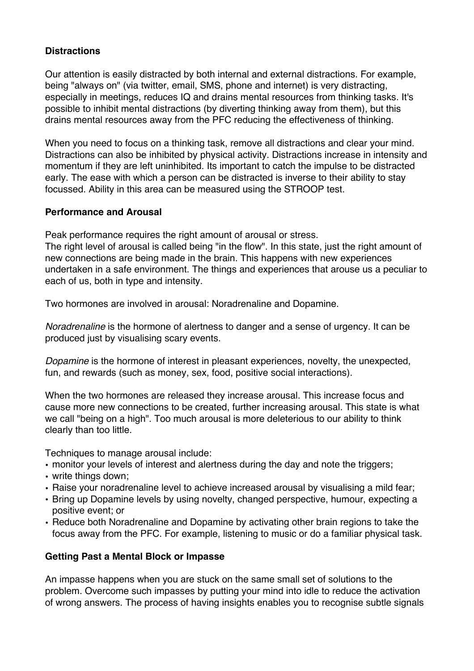## **Distractions**

Our attention is easily distracted by both internal and external distractions. For example, being "always on" (via twitter, email, SMS, phone and internet) is very distracting, especially in meetings, reduces IQ and drains mental resources from thinking tasks. It's possible to inhibit mental distractions (by diverting thinking away from them), but this drains mental resources away from the PFC reducing the effectiveness of thinking.

When you need to focus on a thinking task, remove all distractions and clear your mind. Distractions can also be inhibited by physical activity. Distractions increase in intensity and momentum if they are left uninhibited. Its important to catch the impulse to be distracted early. The ease with which a person can be distracted is inverse to their ability to stay focussed. Ability in this area can be measured using the STROOP test.

## **Performance and Arousal**

Peak performance requires the right amount of arousal or stress.

The right level of arousal is called being "in the flow". In this state, just the right amount of new connections are being made in the brain. This happens with new experiences undertaken in a safe environment. The things and experiences that arouse us a peculiar to each of us, both in type and intensity.

Two hormones are involved in arousal: Noradrenaline and Dopamine.

*Noradrenaline* is the hormone of alertness to danger and a sense of urgency. It can be produced just by visualising scary events.

*Dopamine* is the hormone of interest in pleasant experiences, novelty, the unexpected, fun, and rewards (such as money, sex, food, positive social interactions).

When the two hormones are released they increase arousal. This increase focus and cause more new connections to be created, further increasing arousal. This state is what we call "being on a high". Too much arousal is more deleterious to our ability to think clearly than too little.

Techniques to manage arousal include:

- monitor your levels of interest and alertness during the day and note the triggers;
- write things down;
- Raise your noradrenaline level to achieve increased arousal by visualising a mild fear;
- Bring up Dopamine levels by using novelty, changed perspective, humour, expecting a positive event; or
- Reduce both Noradrenaline and Dopamine by activating other brain regions to take the focus away from the PFC. For example, listening to music or do a familiar physical task.

## **Getting Past a Mental Block or Impasse**

An impasse happens when you are stuck on the same small set of solutions to the problem. Overcome such impasses by putting your mind into idle to reduce the activation of wrong answers. The process of having insights enables you to recognise subtle signals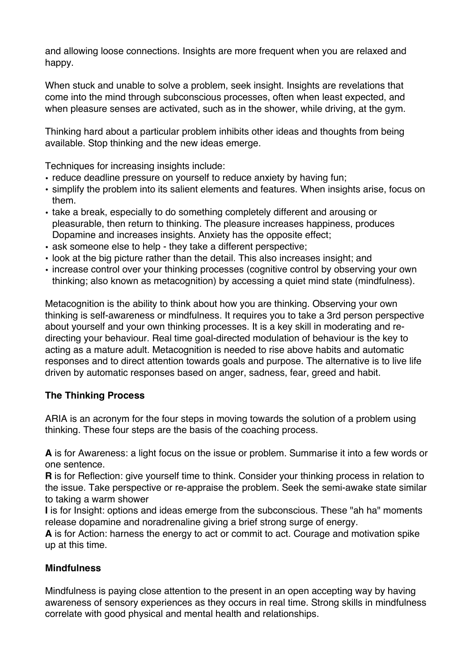and allowing loose connections. Insights are more frequent when you are relaxed and happy.

When stuck and unable to solve a problem, seek insight. Insights are revelations that come into the mind through subconscious processes, often when least expected, and when pleasure senses are activated, such as in the shower, while driving, at the gym.

Thinking hard about a particular problem inhibits other ideas and thoughts from being available. Stop thinking and the new ideas emerge.

Techniques for increasing insights include:

- reduce deadline pressure on yourself to reduce anxiety by having fun;
- simplify the problem into its salient elements and features. When insights arise, focus on them.
- take a break, especially to do something completely different and arousing or pleasurable, then return to thinking. The pleasure increases happiness, produces Dopamine and increases insights. Anxiety has the opposite effect;
- ask someone else to help they take a different perspective;
- look at the big picture rather than the detail. This also increases insight; and
- increase control over your thinking processes (cognitive control by observing your own thinking; also known as metacognition) by accessing a quiet mind state (mindfulness).

Metacognition is the ability to think about how you are thinking. Observing your own thinking is self-awareness or mindfulness. It requires you to take a 3rd person perspective about yourself and your own thinking processes. It is a key skill in moderating and redirecting your behaviour. Real time goal-directed modulation of behaviour is the key to acting as a mature adult. Metacognition is needed to rise above habits and automatic responses and to direct attention towards goals and purpose. The alternative is to live life driven by automatic responses based on anger, sadness, fear, greed and habit.

# **The Thinking Process**

ARIA is an acronym for the four steps in moving towards the solution of a problem using thinking. These four steps are the basis of the coaching process.

**A** is for Awareness: a light focus on the issue or problem. Summarise it into a few words or one sentence.

**R** is for Reflection: give yourself time to think. Consider your thinking process in relation to the issue. Take perspective or re-appraise the problem. Seek the semi-awake state similar to taking a warm shower

**I** is for Insight: options and ideas emerge from the subconscious. These "ah ha" moments release dopamine and noradrenaline giving a brief strong surge of energy.

**A** is for Action: harness the energy to act or commit to act. Courage and motivation spike up at this time.

# **Mindfulness**

Mindfulness is paying close attention to the present in an open accepting way by having awareness of sensory experiences as they occurs in real time. Strong skills in mindfulness correlate with good physical and mental health and relationships.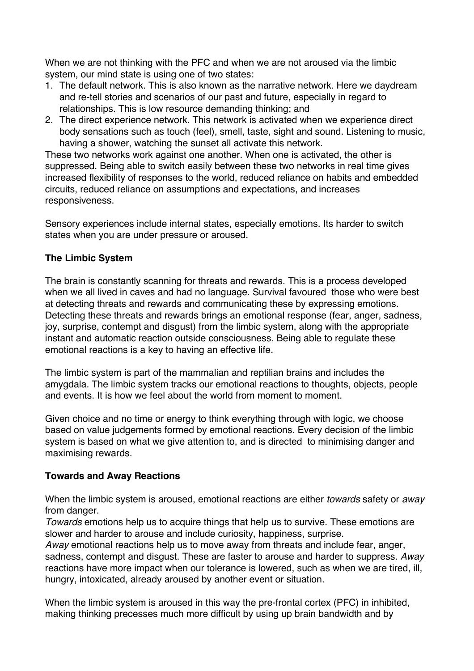When we are not thinking with the PFC and when we are not aroused via the limbic system, our mind state is using one of two states:

- 1. The default network. This is also known as the narrative network. Here we daydream and re-tell stories and scenarios of our past and future, especially in regard to relationships. This is low resource demanding thinking; and
- 2. The direct experience network. This network is activated when we experience direct body sensations such as touch (feel), smell, taste, sight and sound. Listening to music, having a shower, watching the sunset all activate this network.

These two networks work against one another. When one is activated, the other is suppressed. Being able to switch easily between these two networks in real time gives increased flexibility of responses to the world, reduced reliance on habits and embedded circuits, reduced reliance on assumptions and expectations, and increases responsiveness.

Sensory experiences include internal states, especially emotions. Its harder to switch states when you are under pressure or aroused.

## **The Limbic System**

The brain is constantly scanning for threats and rewards. This is a process developed when we all lived in caves and had no language. Survival favoured those who were best at detecting threats and rewards and communicating these by expressing emotions. Detecting these threats and rewards brings an emotional response (fear, anger, sadness, joy, surprise, contempt and disgust) from the limbic system, along with the appropriate instant and automatic reaction outside consciousness. Being able to regulate these emotional reactions is a key to having an effective life.

The limbic system is part of the mammalian and reptilian brains and includes the amygdala. The limbic system tracks our emotional reactions to thoughts, objects, people and events. It is how we feel about the world from moment to moment.

Given choice and no time or energy to think everything through with logic, we choose based on value judgements formed by emotional reactions. Every decision of the limbic system is based on what we give attention to, and is directed to minimising danger and maximising rewards.

## **Towards and Away Reactions**

When the limbic system is aroused, emotional reactions are either *towards* safety or *away* from danger.

*Towards* emotions help us to acquire things that help us to survive. These emotions are slower and harder to arouse and include curiosity, happiness, surprise.

*Away* emotional reactions help us to move away from threats and include fear, anger, sadness, contempt and disgust. These are faster to arouse and harder to suppress. *Away* reactions have more impact when our tolerance is lowered, such as when we are tired, ill, hungry, intoxicated, already aroused by another event or situation.

When the limbic system is aroused in this way the pre-frontal cortex (PFC) in inhibited, making thinking precesses much more difficult by using up brain bandwidth and by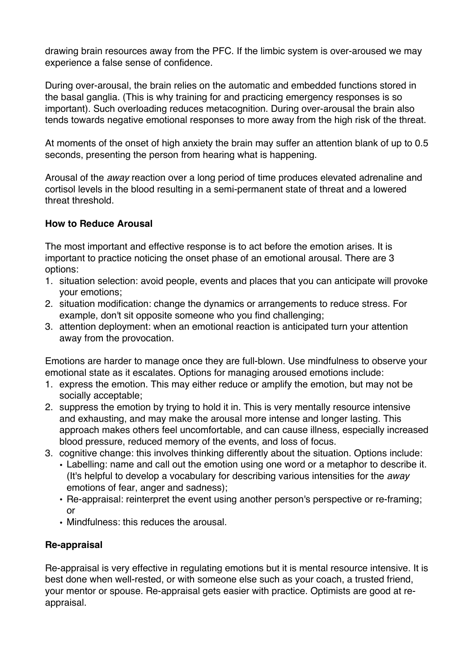drawing brain resources away from the PFC. If the limbic system is over-aroused we may experience a false sense of confidence.

During over-arousal, the brain relies on the automatic and embedded functions stored in the basal ganglia. (This is why training for and practicing emergency responses is so important). Such overloading reduces metacognition. During over-arousal the brain also tends towards negative emotional responses to more away from the high risk of the threat.

At moments of the onset of high anxiety the brain may suffer an attention blank of up to 0.5 seconds, presenting the person from hearing what is happening.

Arousal of the *away* reaction over a long period of time produces elevated adrenaline and cortisol levels in the blood resulting in a semi-permanent state of threat and a lowered threat threshold.

## **How to Reduce Arousal**

The most important and effective response is to act before the emotion arises. It is important to practice noticing the onset phase of an emotional arousal. There are 3 options:

- 1. situation selection: avoid people, events and places that you can anticipate will provoke your emotions;
- 2. situation modification: change the dynamics or arrangements to reduce stress. For example, don't sit opposite someone who you find challenging;
- 3. attention deployment: when an emotional reaction is anticipated turn your attention away from the provocation.

Emotions are harder to manage once they are full-blown. Use mindfulness to observe your emotional state as it escalates. Options for managing aroused emotions include:

- 1. express the emotion. This may either reduce or amplify the emotion, but may not be socially acceptable;
- 2. suppress the emotion by trying to hold it in. This is very mentally resource intensive and exhausting, and may make the arousal more intense and longer lasting. This approach makes others feel uncomfortable, and can cause illness, especially increased blood pressure, reduced memory of the events, and loss of focus.
- 3. cognitive change: this involves thinking differently about the situation. Options include:
	- Labelling: name and call out the emotion using one word or a metaphor to describe it. (It's helpful to develop a vocabulary for describing various intensities for the *away* emotions of fear, anger and sadness);
	- Re-appraisal: reinterpret the event using another person's perspective or re-framing; or
	- Mindfulness: this reduces the arousal.

## **Re-appraisal**

Re-appraisal is very effective in regulating emotions but it is mental resource intensive. It is best done when well-rested, or with someone else such as your coach, a trusted friend, your mentor or spouse. Re-appraisal gets easier with practice. Optimists are good at reappraisal.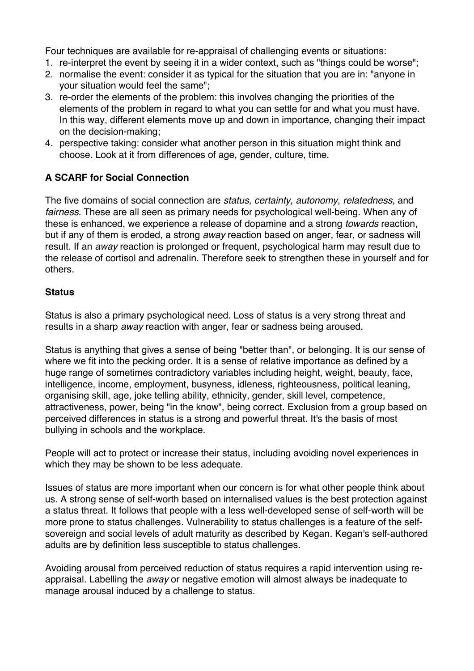Four techniques are available for re-appraisal of challenging events or situations:

- 1. re-interpret the event by seeing it in a wider context, such as "things could be worse";
- 2. normalise the event: consider it as typical for the situation that you are in: "anyone in your situation would feel the same";
- 3. re-order the elements of the problem: this involves changing the priorities of the elements of the problem in regard to what you can settle for and what you must have. In this way, different elements move up and down in importance, changing their impact on the decision-making;
- 4. perspective taking: consider what another person in this situation might think and choose. Look at it from differences of age, gender, culture, time.

# **A SCARF for Social Connection**

The five domains of social connection are *status*, *certainty*, *autonomy*, *relatedness*, and *fairness*. These are all seen as primary needs for psychological well-being. When any of these is enhanced, we experience a release of dopamine and a strong *towards* reaction, but if any of them is eroded, a strong *away* reaction based on anger, fear, or sadness will result. If an *away* reaction is prolonged or frequent, psychological harm may result due to the release of cortisol and adrenalin. Therefore seek to strengthen these in yourself and for others.

#### **Status**

Status is also a primary psychological need. Loss of status is a very strong threat and results in a sharp *away* reaction with anger, fear or sadness being aroused.

Status is anything that gives a sense of being "better than", or belonging. It is our sense of where we fit into the pecking order. It is a sense of relative importance as defined by a huge range of sometimes contradictory variables including height, weight, beauty, face, intelligence, income, employment, busyness, idleness, righteousness, political leaning, organising skill, age, joke telling ability, ethnicity, gender, skill level, competence, attractiveness, power, being "in the know", being correct. Exclusion from a group based on perceived differences in status is a strong and powerful threat. It's the basis of most bullying in schools and the workplace.

People will act to protect or increase their status, including avoiding novel experiences in which they may be shown to be less adequate.

Issues of status are more important when our concern is for what other people think about us. A strong sense of self-worth based on internalised values is the best protection against a status threat. It follows that people with a less well-developed sense of self-worth will be more prone to status challenges. Vulnerability to status challenges is a feature of the selfsovereign and social levels of adult maturity as described by Kegan. Kegan's self-authored adults are by definition less susceptible to status challenges.

Avoiding arousal from perceived reduction of status requires a rapid intervention using reappraisal. Labelling the *away* or negative emotion will almost always be inadequate to manage arousal induced by a challenge to status.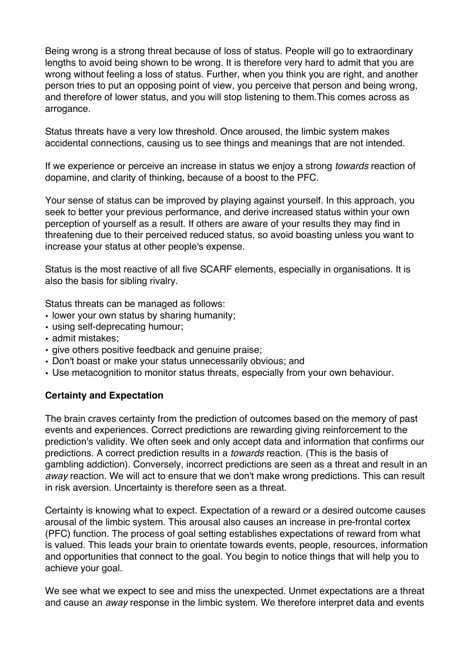Being wrong is a strong threat because of loss of status. People will go to extraordinary lengths to avoid being shown to be wrong. It is therefore very hard to admit that you are wrong without feeling a loss of status. Further, when you think you are right, and another person tries to put an opposing point of view, you perceive that person and being wrong, and therefore of lower status, and you will stop listening to them.This comes across as arrogance.

Status threats have a very low threshold. Once aroused, the limbic system makes accidental connections, causing us to see things and meanings that are not intended.

If we experience or perceive an increase in status we enjoy a strong *towards* reaction of dopamine, and clarity of thinking, because of a boost to the PFC.

Your sense of status can be improved by playing against yourself. In this approach, you seek to better your previous performance, and derive increased status within your own perception of yourself as a result. If others are aware of your results they may find in threatening due to their perceived reduced status, so avoid boasting unless you want to increase your status at other people's expense.

Status is the most reactive of all five SCARF elements, especially in organisations. It is also the basis for sibling rivalry.

Status threats can be managed as follows:

- lower your own status by sharing humanity;
- using self-deprecating humour;
- admit mistakes;
- give others positive feedback and genuine praise;
- Don't boast or make your status unnecessarily obvious; and
- Use metacognition to monitor status threats, especially from your own behaviour.

#### **Certainty and Expectation**

The brain craves certainty from the prediction of outcomes based on the memory of past events and experiences. Correct predictions are rewarding giving reinforcement to the prediction's validity. We often seek and only accept data and information that confirms our predictions. A correct prediction results in a *towards* reaction. (This is the basis of gambling addiction). Conversely, incorrect predictions are seen as a threat and result in an *away* reaction. We will act to ensure that we don't make wrong predictions. This can result in risk aversion. Uncertainty is therefore seen as a threat.

Certainty is knowing what to expect. Expectation of a reward or a desired outcome causes arousal of the limbic system. This arousal also causes an increase in pre-frontal cortex (PFC) function. The process of goal setting establishes expectations of reward from what is valued. This leads your brain to orientate towards events, people, resources, information and opportunities that connect to the goal. You begin to notice things that will help you to achieve your goal.

We see what we expect to see and miss the unexpected. Unmet expectations are a threat and cause an *away* response in the limbic system. We therefore interpret data and events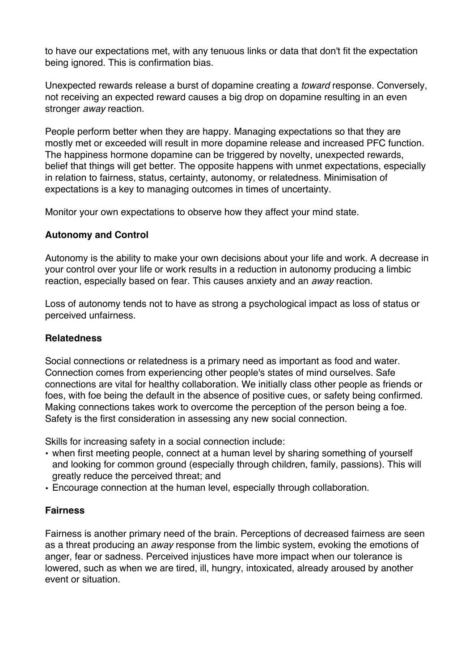to have our expectations met, with any tenuous links or data that don't fit the expectation being ignored. This is confirmation bias.

Unexpected rewards release a burst of dopamine creating a *toward* response. Conversely, not receiving an expected reward causes a big drop on dopamine resulting in an even stronger *away* reaction.

People perform better when they are happy. Managing expectations so that they are mostly met or exceeded will result in more dopamine release and increased PFC function. The happiness hormone dopamine can be triggered by novelty, unexpected rewards, belief that things will get better. The opposite happens with unmet expectations, especially in relation to fairness, status, certainty, autonomy, or relatedness. Minimisation of expectations is a key to managing outcomes in times of uncertainty.

Monitor your own expectations to observe how they affect your mind state.

#### **Autonomy and Control**

Autonomy is the ability to make your own decisions about your life and work. A decrease in your control over your life or work results in a reduction in autonomy producing a limbic reaction, especially based on fear. This causes anxiety and an *away* reaction.

Loss of autonomy tends not to have as strong a psychological impact as loss of status or perceived unfairness.

#### **Relatedness**

Social connections or relatedness is a primary need as important as food and water. Connection comes from experiencing other people's states of mind ourselves. Safe connections are vital for healthy collaboration. We initially class other people as friends or foes, with foe being the default in the absence of positive cues, or safety being confirmed. Making connections takes work to overcome the perception of the person being a foe. Safety is the first consideration in assessing any new social connection.

Skills for increasing safety in a social connection include:

- when first meeting people, connect at a human level by sharing something of yourself and looking for common ground (especially through children, family, passions). This will greatly reduce the perceived threat; and
- Encourage connection at the human level, especially through collaboration.

#### **Fairness**

Fairness is another primary need of the brain. Perceptions of decreased fairness are seen as a threat producing an *away* response from the limbic system, evoking the emotions of anger, fear or sadness. Perceived injustices have more impact when our tolerance is lowered, such as when we are tired, ill, hungry, intoxicated, already aroused by another event or situation.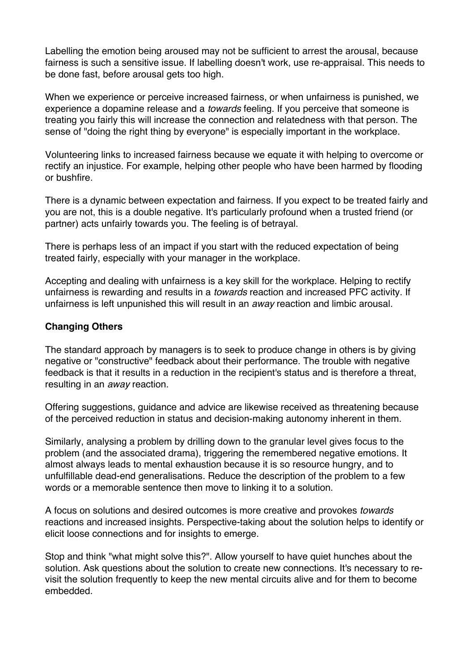Labelling the emotion being aroused may not be sufficient to arrest the arousal, because fairness is such a sensitive issue. If labelling doesn't work, use re-appraisal. This needs to be done fast, before arousal gets too high.

When we experience or perceive increased fairness, or when unfairness is punished, we experience a dopamine release and a *towards* feeling. If you perceive that someone is treating you fairly this will increase the connection and relatedness with that person. The sense of "doing the right thing by everyone" is especially important in the workplace.

Volunteering links to increased fairness because we equate it with helping to overcome or rectify an injustice. For example, helping other people who have been harmed by flooding or bushfire.

There is a dynamic between expectation and fairness. If you expect to be treated fairly and you are not, this is a double negative. It's particularly profound when a trusted friend (or partner) acts unfairly towards you. The feeling is of betrayal.

There is perhaps less of an impact if you start with the reduced expectation of being treated fairly, especially with your manager in the workplace.

Accepting and dealing with unfairness is a key skill for the workplace. Helping to rectify unfairness is rewarding and results in a *towards* reaction and increased PFC activity. If unfairness is left unpunished this will result in an *away* reaction and limbic arousal.

## **Changing Others**

The standard approach by managers is to seek to produce change in others is by giving negative or "constructive" feedback about their performance. The trouble with negative feedback is that it results in a reduction in the recipient's status and is therefore a threat, resulting in an *away* reaction.

Offering suggestions, guidance and advice are likewise received as threatening because of the perceived reduction in status and decision-making autonomy inherent in them.

Similarly, analysing a problem by drilling down to the granular level gives focus to the problem (and the associated drama), triggering the remembered negative emotions. It almost always leads to mental exhaustion because it is so resource hungry, and to unfulfillable dead-end generalisations. Reduce the description of the problem to a few words or a memorable sentence then move to linking it to a solution.

A focus on solutions and desired outcomes is more creative and provokes *towards* reactions and increased insights. Perspective-taking about the solution helps to identify or elicit loose connections and for insights to emerge.

Stop and think "what might solve this?". Allow yourself to have quiet hunches about the solution. Ask questions about the solution to create new connections. It's necessary to revisit the solution frequently to keep the new mental circuits alive and for them to become embedded.